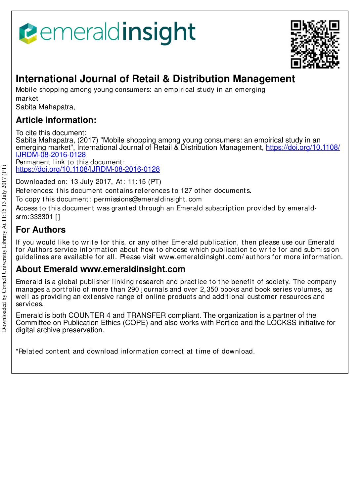



# **International Journal of Retail & Distribution Management**

Mobile shopping among young consumers: an empirical st udy in an emerging market

Sabita Mahapatra,

# **Article information:**

To cite this document: Sabita Mahapatra, (2017) "Mobile shopping among young consumers: an empirical study in an emerging market", International Journal of Retail & Distribution Management, https://doi.org/10.1108/ IJRDM-08-2016-0128  $\overline{Permanent}$  link to this document:

https://doi.org/10.1108/IJRDM-08-2016-0128

Downloaded on: 13 July 2017, At: 11:15 (PT)

References: this document contains references to 127 other documents.

To copy t his document : permissions@emeraldinsight .com

Access to this document was granted through an Emerald subscription provided by emeraldsrm:333301 []

# **For Authors**

If you would like to write for this, or any other Emerald publication, then please use our Emerald for Authors service information about how to choose which publication to write for and submission guidelines are available for all. Please visit www.emeraldinsight .com/ aut hors for more informat ion.

# **About Emerald www.emeraldinsight.com**

Emerald is a global publisher linking research and practice to the benefit of society. The company manages a portfolio of more than 290 journals and over 2,350 books and book series volumes, as well as providing an extensive range of online products and additional customer resources and services.

Emerald is both COUNTER 4 and TRANSFER compliant. The organization is a partner of the Committee on Publication Ethics (COPE) and also works with Portico and the LOCKSS initiative for digital archive preservation.

\*Relat ed cont ent and download informat ion correct at t ime of download.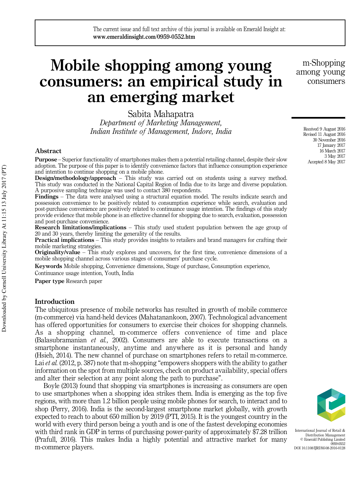# Mobile shopping among young consumers: an empirical study in an emerging market

Sabita Mahapatra *Department of Marketing Management, Indian Institute of Management, Indore, India*

# Abstract

Purpose – Superior functionality of smartphones makes them a potential retailing channel, despite their slow adoption. The purpose of this paper is to identify convenience factors that influence consumption experience and intention to continue shopping on a mobile phone.

Design/methodology/approach – This study was carried out on students using a survey method. This study was conducted in the National Capital Region of India due to its large and diverse population. A purposive sampling technique was used to contact 380 respondents.

Findings – The data were analysed using a structural equation model. The results indicate search and possession convenience to be positively related to consumption experience while search, evaluation and post-purchase convenience are positively related to continuance usage intention. The findings of this study provide evidence that mobile phone is an effective channel for shopping due to search, evaluation, possession and post-purchase convenience.

Research limitations/implications – This study used student population between the age group of 20 and 30 years, thereby limiting the generality of the results.

Practical implications – This study provides insights to retailers and brand managers for crafting their mobile marketing strategies.

**Originality/value** – This study explores and uncovers, for the first time, convenience dimensions of a mobile shopping channel across various stages of consumers' purchase cycle.

Keywords Mobile shopping, Convenience dimensions, Stage of purchase, Consumption experience, Continuance usage intention, Youth, India

Paper type Research paper

### Introduction

The ubiquitous presence of mobile networks has resulted in growth of mobile commerce (m-commerce) via hand-held devices (Mahatanankoon, 2007). Technological advancement has offered opportunities for consumers to exercise their choices for shopping channels. As a shopping channel, m-commerce offers convenience of time and place (Balasubramanian *et al.*, 2002). Consumers are able to execute transactions on a smartphone instantaneously, anytime and anywhere as it is personal and handy (Hsieh, 2014). The new channel of purchase on smartphones refers to retail m-commerce. Lai *et al.* (2012, p. 387) note that m-shopping "empowers shoppers with the ability to gather information on the spot from multiple sources, check on product availability, special offers and alter their selection at any point along the path to purchase".

Boyle (2013) found that shopping via smartphones is increasing as consumers are open to use smartphones when a shopping idea strikes them. India is emerging as the top five regions, with more than 1.2 billion people using mobile phones for search, to interact and to shop (Perry, 2016). India is the second-largest smartphone market globally, with growth expected to reach to about 650 million by 2019 (PTI, 2015). It is the youngest country in the world with every third person being a youth and is one of the fastest developing economies with third rank in GDP in terms of purchasing power-parity of approximately \$7.28 trillion (Prafull, 2016). This makes India a highly potential and attractive market for many m-commerce players.

International Journal of Retail & Distribution Management © Emerald Publishing Limited 0959-0552 DOI 10.1108/IIRDM-08-2016-0128

m-Shopping among young consumers

> Received 9 August 2016 Revised 11 August 2016 30 November 2016 17 January 2017 16 March 2017 3 May 2017 Accepted 8 May 2017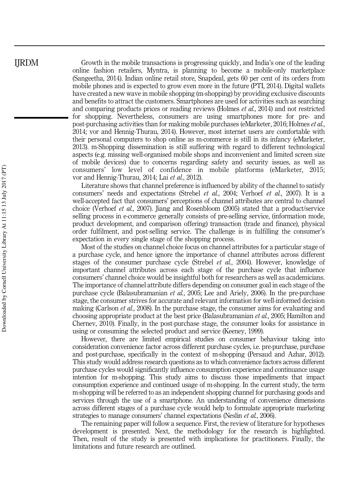Growth in the mobile transactions is progressing quickly, and India's one of the leading online fashion retailers, Myntra, is planning to become a mobile-only marketplace (Sangeetha, 2014). Indian online retail store, Snapdeal, gets 60 per cent of its orders from mobile phones and is expected to grow even more in the future (PTI, 2014). Digital wallets have created a new wave in mobile shopping (m-shopping) by providing exclusive discounts and benefits to attract the customers. Smartphones are used for activities such as searching and comparing products prices or reading reviews (Holmes *et al.*, 2014) and not restricted for shopping. Nevertheless, consumers are using smartphones more for pre- and post-purchasing activities than for making mobile purchases (eMarketer, 2016; Holmes *et al.*, 2014; vor and Hennig-Thurau, 2014). However, most internet users are comfortable with their personal computers to shop online as m-commerce is still in its infancy (eMarketer, 2013). m-Shopping dissemination is still suffering with regard to different technological aspects (e.g. missing well-organised mobile shops and inconvenient and limited screen size of mobile devices) due to concerns regarding safety and security issues, as well as consumers' low level of confidence in mobile platforms (eMarketer, 2015; vor and Hennig-Thurau, 2014; Lai *et al.*, 2012).

Literature shows that channel preference is influenced by ability of the channel to satisfy consumers' needs and expectations (Strebel *et al.*, 2004; Verhoef *et al.*, 2007). It is a well-accepted fact that consumers' perceptions of channel attributes are central to channel choice (Verhoef *et al.*, 2007). Jiang and Rosenbloom (2005) stated that a product/service selling process in e-commerce generally consists of pre-selling service, (information mode, product development, and comparison offering) transaction (trade and finance), physical order fulfilment, and post-selling service. The challenge is in fulfilling the consumer's expectation in every single stage of the shopping process.

Most of the studies on channel choice focus on channel attributes for a particular stage of a purchase cycle, and hence ignore the importance of channel attributes across different stages of the consumer purchase cycle (Strebel *et al.*, 2004). However, knowledge of important channel attributes across each stage of the purchase cycle that influence consumers' channel choice would be insightful both for researchers as well as academicians. The importance of channel attribute differs depending on consumer goal in each stage of the purchase cycle (Balasubramanian *et al.*, 2005; Lee and Ariely, 2006). In the pre-purchase stage, the consumer strives for accurate and relevant information for well-informed decision making (Carlson *et al.*, 2008). In the purchase stage, the consumer aims for evaluating and choosing appropriate product at the best price (Balasubramanian *et al.*, 2005; Hamilton and Chernev, 2010). Finally, in the post-purchase stage, the consumer looks for assistance in using or consuming the selected product and service (Keeney, 1999).

However, there are limited empirical studies on consumer behaviour taking into consideration convenience factor across different purchase cycles, i.e. pre-purchase, purchase and post-purchase, specifically in the context of m-shopping (Persaud and Azhar, 2012). This study would address research questions as to which convenience factors across different purchase cycles would significantly influence consumption experience and continuance usage intention for m-shopping. This study aims to discuss those impediments that impact consumption experience and continued usage of m-shopping. In the current study, the term m-shopping will be referred to as an independent shopping channel for purchasing goods and services through the use of a smartphone. An understanding of convenience dimensions across different stages of a purchase cycle would help to formulate appropriate marketing strategies to manage consumers' channel expectations (Neslin *et al.*, 2006).

The remaining paper will follow a sequence. First, the review of literature for hypotheses development is presented. Next, the methodology for the research is highlighted. Then, result of the study is presented with implications for practitioners. Finally, the limitations and future research are outlined.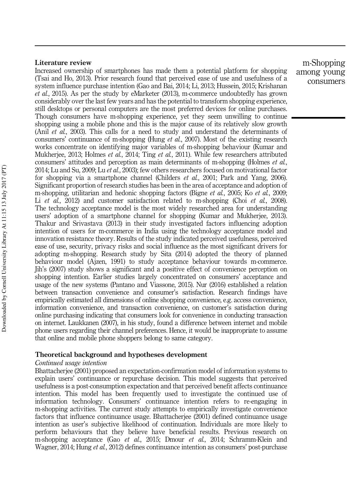# Literature review

Increased ownership of smartphones has made them a potential platform for shopping (Tsai and Ho, 2013). Prior research found that perceived ease of use and usefulness of a system influence purchase intention (Gao and Bai, 2014; Li, 2013; Hussein, 2015; Krishanan *et al.*, 2015). As per the study by eMarketer (2013), m-commerce undoubtedly has grown considerably over the last few years and has the potential to transform shopping experience, still desktops or personal computers are the most preferred devices for online purchases. Though consumers have m-shopping experience, yet they seem unwilling to continue shopping using a mobile phone and this is the major cause of its relatively slow growth (Anil *et al.*, 2003). This calls for a need to study and understand the determinants of consumers' continuance of m-shopping (Hung *et al.*, 2007). Most of the existing research works concentrate on identifying major variables of m-shopping behaviour (Kumar and Mukherjee, 2013; Holmes *et al.*, 2014; Ting *et al.*, 2011). While few researchers attributed consumers' attitudes and perception as main determinants of m-shopping (Holmes *et al.*, 2014; Lu and Su, 2009; Lu *et al.*, 2003); few others researchers focused on motivational factor for shopping via a smartphone channel (Childers *et al.*, 2001; Park and Yang, 2006). Significant proportion of research studies has been in the area of acceptance and adoption of m-shopping, utilitarian and hedonic shopping factors (Bigne *et al.*, 2005; Ko *et al.*, 2009; Li *et al.*, 2012) and customer satisfaction related to m-shopping (Choi *et al.*, 2008). The technology acceptance model is the most widely researched area for understanding users' adoption of a smartphone channel for shopping (Kumar and Mukherjee, 2013). Thakur and Srivastava (2013) in their study investigated factors influencing adoption intention of users for m-commerce in India using the technology acceptance model and innovation resistance theory. Results of the study indicated perceived usefulness, perceived ease of use, security, privacy risks and social influence as the most significant drivers for adopting m-shopping. Research study by Sita (2014) adopted the theory of planned behaviour model (Ajzen, 1991) to study acceptance behaviour towards m-commerce. Jih's (2007) study shows a significant and a positive effect of convenience perception on shopping intention. Earlier studies largely concentrated on consumers' acceptance and usage of the new systems (Pantano and Viassone, 2015). Nur (2016) established a relation between transaction convenience and consumer's satisfaction. Research findings have empirically estimated all dimensions of online shopping convenience, e.g. access convenience, information convenience, and transaction convenience, on customer's satisfaction during online purchasing indicating that consumers look for convenience in conducting transaction on internet. Laukkanen (2007), in his study, found a difference between internet and mobile phone users regarding their channel preferences. Hence, it would be inappropriate to assume that online and mobile phone shoppers belong to same category.

# Theoretical background and hypotheses development

# *Continued usage intention*

Bhattacherjee (2001) proposed an expectation-confirmation model of information systems to explain users' continuance or repurchase decision. This model suggests that perceived usefulness is a post-consumption expectation and that perceived benefit affects continuance intention. This model has been frequently used to investigate the continued use of information technology. Consumers' continuance intention refers to re-engaging in m-shopping activities. The current study attempts to empirically investigate convenience factors that influence continuance usage. Bhattacherjee (2001) defined continuance usage intention as user's subjective likelihood of continuation. Individuals are more likely to perform behaviours that they believe have beneficial results. Previous research on m-shopping acceptance (Gao *et al.*, 2015; Dmour *et al.*, 2014; Schramm-Klein and Wagner, 2014; Hung *et al.*, 2012) defines continuance intention as consumers' post-purchase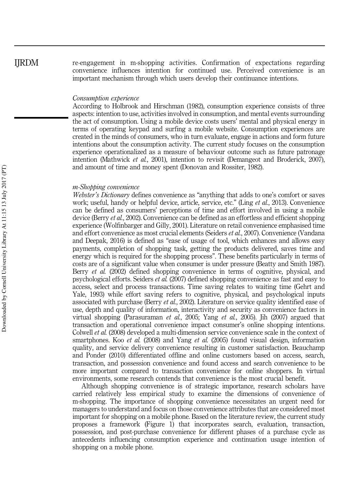re-engagement in m-shopping activities. Confirmation of expectations regarding convenience influences intention for continued use. Perceived convenience is an important mechanism through which users develop their continuance intentions.

### *Consumption experience*

According to Holbrook and Hirschman (1982), consumption experience consists of three aspects: intention to use, activities involved in consumption, and mental events surrounding the act of consumption. Using a mobile device costs users' mental and physical energy in terms of operating keypad and surfing a mobile website. Consumption experiences are created in the minds of consumers, who in turn evaluate, engage in actions and form future intentions about the consumption activity. The current study focuses on the consumption experience operationalized as a measure of behaviour outcome such as future patronage intention (Mathwick *et al.*, 2001), intention to revisit (Demangeot and Broderick, 2007), and amount of time and money spent (Donovan and Rossiter, 1982).

# *m-Shopping convenience*

*Webster*'*s Dictionary* defines convenience as "anything that adds to one's comfort or saves work; useful, handy or helpful device, article, service, etc." (Ling *et al.*, 2013). Convenience can be defined as consumers' perceptions of time and effort involved in using a mobile device (Berry *et al.*, 2002). Convenience can be defined as an effortless and efficient shopping experience (Wolfinbarger and Gilly, 2001). Literature on retail convenience emphasised time and effort convenience as most crucial elements (Seiders *et al.*, 2007). Convenience (Vandana and Deepak, 2016) is defined as "ease of usage of tool, which enhances and allows easy payments, completion of shopping task, getting the products delivered, saves time and energy which is required for the shopping process". These benefits particularly in terms of costs are of a significant value when consumer is under pressure (Beatty and Smith 1987). Berry *et al.* (2002) defined shopping convenience in terms of cognitive, physical, and psychological efforts. Seiders *et al.* (2007) defined shopping convenience as fast and easy to access, select and process transactions. Time saving relates to waiting time (Gehrt and Yale, 1993) while effort saving refers to cognitive, physical, and psychological inputs associated with purchase (Berry *et al.*, 2002). Literature on service quality identified ease of use, depth and quality of information, interactivity and security as convenience factors in virtual shopping (Parasuraman *et al.*, 2005; Yang *et al.*, 2005). Jih (2007) argued that transaction and operational convenience impact consumer's online shopping intentions. Colwell *et al.* (2008) developed a multi-dimension service convenience scale in the context of smartphones. Koo *et al.* (2008) and Yang *et al.* (2005) found visual design, information quality, and service delivery convenience resulting in customer satisfaction. Beauchamp and Ponder (2010) differentiated offline and online customers based on access, search, transaction, and possession convenience and found access and search convenience to be more important compared to transaction convenience for online shoppers. In virtual environments, some research contends that convenience is the most crucial benefit.

Although shopping convenience is of strategic importance, research scholars have carried relatively less empirical study to examine the dimensions of convenience of m-shopping. The importance of shopping convenience necessitates an urgent need for managers to understand and focus on those convenience attributes that are considered most important for shopping on a mobile phone. Based on the literature review, the current study proposes a framework (Figure 1) that incorporates search, evaluation, transaction, possession, and post-purchase convenience for different phases of a purchase cycle as antecedents influencing consumption experience and continuation usage intention of shopping on a mobile phone.

IJRDM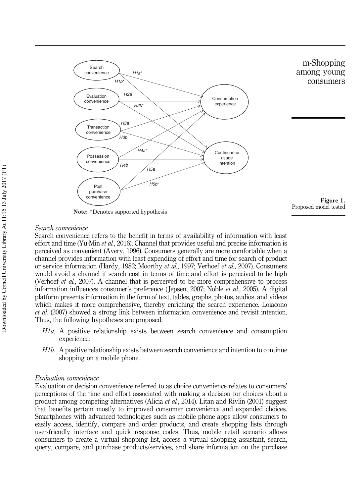

**Note:** \*Denotes supported hypothesis

# *Search convenience*

Search convenience refers to the benefit in terms of availability of information with least effort and time (Yu-Min *et al.*, 2016). Channel that provides useful and precise information is perceived as convenient (Avery, 1996). Consumers generally are more comfortable when a channel provides information with least expending of effort and time for search of product or service information (Hardy, 1982; Moorthy *et al.*, 1997; Verhoef *et al.*, 2007). Consumers would avoid a channel if search cost in terms of time and effort is perceived to be high (Verhoef *et al.*, 2007). A channel that is perceived to be more comprehensive to process information influences consumer's preference ( Jepsen, 2007; Noble *et al.*, 2005). A digital platform presents information in the form of text, tables, graphs, photos, audios, and videos which makes it more comprehensive, thereby enriching the search experience. Loiacono *et al.* (2007) showed a strong link between information convenience and revisit intention. Thus, the following hypotheses are proposed:

- *H1a.* A positive relationship exists between search convenience and consumption experience.
- *H1b.* A positive relationship exists between search convenience and intention to continue shopping on a mobile phone.

# *Evaluation convenience*

Evaluation or decision convenience referred to as choice convenience relates to consumers' perceptions of the time and effort associated with making a decision for choices about a product among competing alternatives (Alicia *et al.*, 2014). Litan and Rivlin (2001) suggest that benefits pertain mostly to improved consumer convenience and expanded choices. Smartphones with advanced technologies such as mobile phone apps allow consumers to easily access, identify, compare and order products, and create shopping lists through user-friendly interface and quick response codes. Thus, mobile retail scenario allows consumers to create a virtual shopping list, access a virtual shopping assistant, search, query, compare, and purchase products/services, and share information on the purchase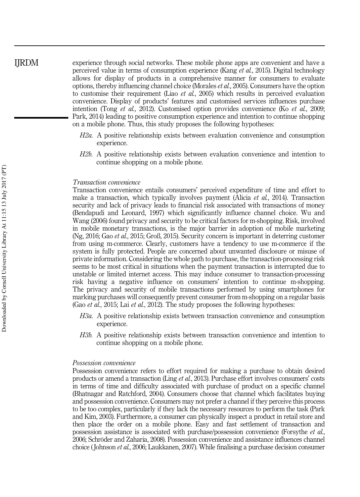experience through social networks. These mobile phone apps are convenient and have a perceived value in terms of consumption experience (Kang *et al.*, 2015). Digital technology allows for display of products in a comprehensive manner for consumers to evaluate options, thereby influencing channel choice (Morales *et al.*, 2005). Consumers have the option to customise their requirement (Liao *et al.*, 2005) which results in perceived evaluation convenience. Display of products' features and customised services influences purchase intention (Tong *et al.*, 2012). Customised option provides convenience (Ko *et al.*, 2009; Park, 2014) leading to positive consumption experience and intention to continue shopping on a mobile phone. Thus, this study proposes the following hypotheses:

- *H2a.* A positive relationship exists between evaluation convenience and consumption experience.
- *H2b.* A positive relationship exists between evaluation convenience and intention to continue shopping on a mobile phone.

### *Transaction convenience*

Transaction convenience entails consumers' perceived expenditure of time and effort to make a transaction, which typically involves payment (Alicia *et al.*, 2014). Transaction security and lack of privacy leads to financial risk associated with transactions of money (Bendapudi and Leonard, 1997) which significantly influence channel choice. Wu and Wang (2006) found privacy and security to be critical factors for m-shopping. Risk, involved in mobile monetary transactions, is the major barrier in adoption of mobile marketing (Ng, 2016; Gao *et al.*, 2015; Groß, 2015). Security concern is important in deterring customer from using m-commerce. Clearly, customers have a tendency to use m-commerce if the system is fully protected. People are concerned about unwanted disclosure or misuse of private information. Considering the whole path to purchase, the transaction-processing risk seems to be most critical in situations when the payment transaction is interrupted due to unstable or limited internet access. This may induce consumer to transaction-processing risk having a negative influence on consumers' intention to continue m-shopping. The privacy and security of mobile transactions performed by using smartphones for marking purchases will consequently prevent consumer from m-shopping on a regular basis (Gao *et al.*, 2015; Lai *et al.*, 2012). The study proposes the following hypotheses:

- *H3a.* A positive relationship exists between transaction convenience and consumption experience.
- *H3b.* A positive relationship exists between transaction convenience and intention to continue shopping on a mobile phone.

### *Possession convenience*

Possession convenience refers to effort required for making a purchase to obtain desired products or amend a transaction (Ling *et al.*, 2013). Purchase effort involves consumers' costs in terms of time and difficulty associated with purchase of product on a specific channel (Bhatnagar and Ratchford, 2004). Consumers choose that channel which facilitates buying and possession convenience. Consumers may not prefer a channel if they perceive this process to be too complex, particularly if they lack the necessary resources to perform the task (Park and Kim, 2003). Furthermore, a consumer can physically inspect a product in retail store and then place the order on a mobile phone. Easy and fast settlement of transaction and possession assistance is associated with purchase/possession convenience (Forsythe *et al.*, 2006; Schröder and Zaharia, 2008). Possession convenience and assistance influences channel choice ( Johnson *et al.*, 2006; Laukkanen, 2007). While finalising a purchase decision consumer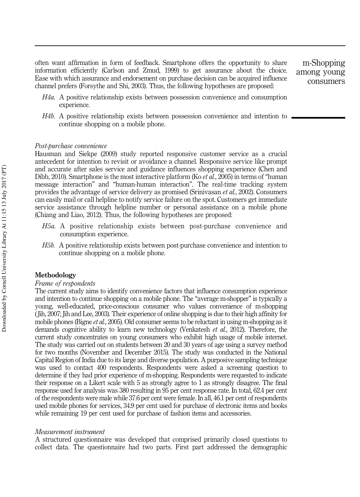often want affirmation in form of feedback. Smartphone offers the opportunity to share information efficiently (Carlson and Zmud, 1999) to get assurance about the choice. Ease with which assurance and endorsement on purchase decision can be acquired influence channel prefers (Forsythe and Shi, 2003). Thus, the following hypotheses are proposed:

m-Shopping among young consumers

- *H4a.* A positive relationship exists between possession convenience and consumption experience.
- *H4b.* A positive relationship exists between possession convenience and intention to continue shopping on a mobile phone.

### *Post-purchase convenience*

Hausman and Siekpe (2009) study reported responsive customer service as a crucial antecedent for intention to revisit or avoidance a channel. Responsive service like prompt and accurate after sales service and guidance influences shopping experience (Chen and Dibb, 2010). Smartphone is the most interactive platform (Ko *et al.*, 2005) in terms of "human message interaction" and "human-human interaction". The real-time tracking system provides the advantage of service delivery as promised (Srinivasan *et al.*, 2002). Consumers can easily mail or call helpline to notify service failure on the spot. Customers get immediate service assistance through helpline number or personal assistance on a mobile phone (Chiang and Liao, 2012). Thus, the following hypotheses are proposed:

- *H5a.* A positive relationship exists between post-purchase convenience and consumption experience.
- *H5b.* A positive relationship exists between post-purchase convenience and intention to continue shopping on a mobile phone.

# Methodology

### *Frame of respondents*

The current study aims to identify convenience factors that influence consumption experience and intention to continue shopping on a mobile phone. The "average m-shopper" is typically a young, well-educated, price-conscious consumer who values convenience of m-shopping ( Jih, 2007; Jih and Lee, 2003). Their experience of online shopping is due to their high affinity for mobile phones (Bigne *et al.*, 2005). Old consumer seems to be reluctant in using m-shopping as it demands cognitive ability to learn new technology (Venkatesh *et al.*, 2012). Therefore, the current study concentrates on young consumers who exhibit high usage of mobile internet. The study was carried out on students between 20 and 30 years of age using a survey method for two months (November and December 2015). The study was conducted in the National Capital Region of India due to its large and diverse population. A purposive sampling technique was used to contact 400 respondents. Respondents were asked a screening question to determine if they had prior experience of m-shopping. Respondents were requested to indicate their response on a Likert scale with 5 as strongly agree to 1 as strongly disagree. The final response used for analysis was 380 resulting in 95 per cent response rate. In total, 62.4 per cent of the respondents were male while 37.6 per cent were female. In all, 46.1 per cent of respondents used mobile phones for services, 34.9 per cent used for purchase of electronic items and books while remaining 19 per cent used for purchase of fashion items and accessories.

### *Measurement instrument*

A structured questionnaire was developed that comprised primarily closed questions to collect data. The questionnaire had two parts. First part addressed the demographic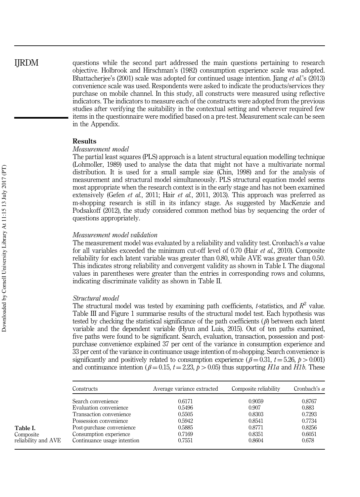# IJRDM

questions while the second part addressed the main questions pertaining to research objective. Holbrook and Hirschman's (1982) consumption experience scale was adopted. Bhattacherjee's (2001) scale was adopted for continued usage intention. Jiang *et al.*'s (2013) convenience scale was used. Respondents were asked to indicate the products/services they purchase on mobile channel. In this study, all constructs were measured using reflective indicators. The indicators to measure each of the constructs were adopted from the previous studies after verifying the suitability in the contextual setting and wherever required few items in the questionnaire were modified based on a pre-test. Measurement scale can be seen in the Appendix.

# Results

# *Measurement model*

The partial least squares (PLS) approach is a latent structural equation modelling technique (Lohmoller, 1989) used to analyse the data that might not have a multivariate normal distribution. It is used for a small sample size (Chin, 1998) and for the analysis of measurement and structural model simultaneously. PLS structural equation model seems most appropriate when the research context is in the early stage and has not been examined extensively (Gefen *et al.*, 2011; Hair *et al.*, 2011, 2013). This approach was preferred as m-shopping research is still in its infancy stage. As suggested by MacKenzie and Podsakoff (2012), the study considered common method bias by sequencing the order of questions appropriately.

# *Measurement model validation*

The measurement model was evaluated by a reliability and validity test. Cronbach's  $\alpha$  value for all variables exceeded the minimum cut-off level of 0.70 (Hair *et al.*, 2010). Composite reliability for each latent variable was greater than 0.80, while AVE was greater than 0.50. This indicates strong reliability and convergent validity as shown in Table I. The diagonal values in parentheses were greater than the entries in corresponding rows and columns, indicating discriminate validity as shown in Table II.

# *Structural model*

The structural model was tested by examining path coefficients,  $t$ -statistics, and  $R^2$  value. Table III and Figure 1 summarise results of the structural model test. Each hypothesis was tested by checking the statistical significance of the path coefficients  $(\beta)$  between each latent variable and the dependent variable (Hyun and Luis, 2015). Out of ten paths examined, five paths were found to be significant. Search, evaluation, transaction, possession and postpurchase convenience explained 37 per cent of the variance in consumption experience and 33 per cent of the variance in continuance usage intention of m-shopping. Search convenience is significantly and positively related to consumption experience  $(\beta = 0.31, t = 5.26, p > 0.001)$ and continuance intention ( $\beta = 0.15$ ,  $t = 2.23$ ,  $p > 0.05$ ) thus supporting *H1a* and *H1b*. These

| Constructs                  | Average variance extracted | Composite reliability | Cronbach's $\alpha$ |
|-----------------------------|----------------------------|-----------------------|---------------------|
| Search convenience          | 0.6171                     | 0.9059                | 0.8767              |
| Evaluation convenience      | 0.5496                     | 0.907                 | 0.883               |
| Transaction convenience     | 0.5505                     | 0.8303                | 0.7293              |
| Possession convenience      | 0.5942                     | 0.8541                | 0.7734              |
| Post-purchase convenience   | 0.5885                     | 0.8771                | 0.8256              |
| Consumption experience      | 0.7169                     | 0.8351                | 0.6051              |
| Continuance usage intention | 0.7551                     | 0.8604                | 0.678               |

Table I. Composite reliability and AVE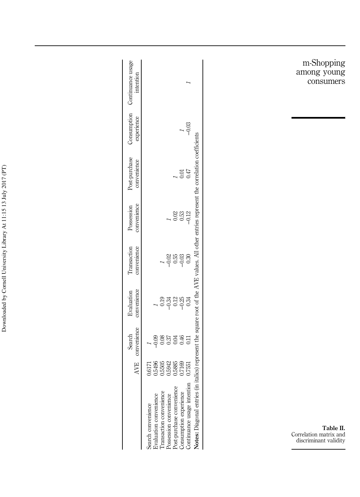|                                                     |        | AVE convenience<br>Search | convenience<br>Evaluation | Transaction<br>convenience | convenience<br>Possession | Post-purchase<br>convenience                                                                                      | experience | Consumption Continuance usage<br>intention |
|-----------------------------------------------------|--------|---------------------------|---------------------------|----------------------------|---------------------------|-------------------------------------------------------------------------------------------------------------------|------------|--------------------------------------------|
| Search convenience                                  | 0.6171 |                           |                           |                            |                           |                                                                                                                   |            |                                            |
|                                                     | 0.5496 | $-0.09$                   |                           |                            |                           |                                                                                                                   |            |                                            |
| Evaluation convenience<br>Transaction convenience   | 1,5505 | 0.08                      | 0.19                      |                            |                           |                                                                                                                   |            |                                            |
| Possession convenience                              | 0.5942 | 0.37                      | $-0.34$                   | $-0.02$                    |                           |                                                                                                                   |            |                                            |
| Post-purchase convenience<br>Consumption experience | 0.5885 | 0.04                      | 0.12                      | 0.55                       | 0.02                      |                                                                                                                   |            |                                            |
|                                                     | 0.7169 | 0.46<br>0.11              | $-0.34$                   | $-0.30$                    | 0.53                      | 0.01                                                                                                              |            |                                            |
| Continuance usage intention                         | 0.7551 |                           |                           |                            | $-0.12$                   | 0.47                                                                                                              | $-0.03$    |                                            |
| Notes: Diagonal entries (                           |        |                           |                           |                            |                           | in italics) represent the square root of the AVE values. All other entries represent the correlation coefficients |            |                                            |

m-Shopping among young consumers

Table II. Correlation matrix and discriminant validity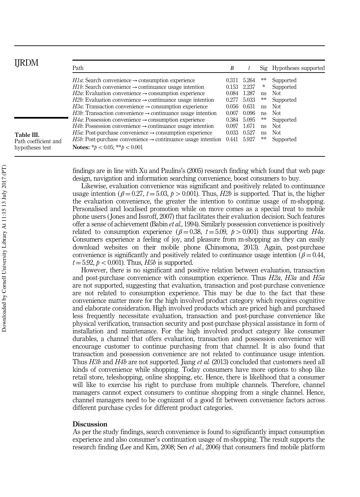| IRDM                 | Path                                                                             | B     |       |    | Sig Hypotheses supported |
|----------------------|----------------------------------------------------------------------------------|-------|-------|----|--------------------------|
|                      | <i>H1a</i> : Search convenience $\rightarrow$ consumption experience             | 0.311 | 5.264 | ** | Supported                |
|                      | <i>H1b</i> : Search convenience $\rightarrow$ continuance usage intention        | 0.153 | 2.237 | *  | Supported                |
|                      | $H2a$ : Evaluation convenience $\rightarrow$ consumption experience              | 0.084 | 1.287 | ns | Not.                     |
|                      | $H2b$ : Evaluation convenience $\rightarrow$ continuance usage intention         | 0.277 | 5.033 | ** | Supported                |
|                      | <i>H3a</i> : Transaction convenience $\rightarrow$ consumption experience        | 0.056 | 0.631 | ns | Not.                     |
|                      | <i>H3b</i> : Transaction convenience $\rightarrow$ continuance usage intention   | 0.007 | 0.096 | ns | Not                      |
|                      | <i>H4a</i> : Possession convenience $\rightarrow$ consumption experience         | 0.384 | 5.095 | ∗∗ | Supported                |
| Table III.           | <i>H4b</i> : Possession convenience $\rightarrow$ continuance usage intention    | 0.097 | .671  | ns | Not.                     |
|                      | <i>H5a</i> : Post-purchase convenience $\rightarrow$ consumption experience      | 0.033 | 0.527 | ns | Not                      |
| Path coefficient and | <i>H5b</i> : Post-purchase convenience $\rightarrow$ continuance usage intention | 0.441 | 5.927 | ** | Supported                |
| hypotheses test      | Notes: * $b < 0.05$ : ** $b < 0.001$                                             |       |       |    |                          |

findings are in line with Xu and Paulins's (2005) research finding which found that web page design, navigation and information searching convenience, boost consumers to buy.

Likewise, evaluation convenience was significant and positively related to continuance usage intention ( $\beta = 0.27$ ,  $t = 5.03$ ,  $p > 0.001$ ). Thus, *H2b* is supported. That is, the higher the evaluation convenience, the greater the intention to continue usage of m-shopping. Personalised and localised promotion while on move comes as a special treat to mobile phone users ( Jones and Issroff, 2007) that facilitates their evaluation decision. Such features offer a sense of achievement (Babin *et al.*, 1994). Similarly possession convenience is positively related to consumption experience ( $\beta = 0.38$ ,  $t = 5.09$ ,  $p > 0.001$ ) thus supporting *H4a*. Consumers experience a feeling of joy, and pleasure from m-shopping as they can easily download websites on their mobile phone (Chinomona, 2013). Again, post-purchase convenience is significantly and positively related to continuance usage intention ( $\beta$  = 0.44,  $t = 5.92$ ,  $p < 0.001$ ). Thus, *H5b* is supported.

However, there is no significant and positive relation between evaluation, transaction and post-purchase convenience with consumption experience. Thus *H2a*, *H3a* and *H5a* are not supported, suggesting that evaluation, transaction and post-purchase convenience are not related to consumption experience. This may be due to the fact that these convenience matter more for the high involved product category which requires cognitive and elaborate consideration. High involved products which are priced high and purchased less frequently necessitate evaluation, transaction and post-purchase convenience like physical verification, transaction security and post-purchase physical assistance in form of installation and maintenance. For the high involved product category like consumer durables, a channel that offers evaluation, transaction and possession convenience will encourage customer to continue purchasing from that channel. It is also found that transaction and possession convenience are not related to continuance usage intention. Thus *H3b* and *H4b* are not supported. Jiang *et al.* (2013) concluded that customers need all kinds of convenience while shopping. Today consumers have more options to shop like retail store, teleshopping, online shopping, etc. Hence, there is likelihood that a consumer will like to exercise his right to purchase from multiple channels. Therefore, channel managers cannot expect consumers to continue shopping from a single channel. Hence, channel managers need to be cognizant of a good fit between convenience factors across different purchase cycles for different product categories.

## **Discussion**

As per the study findings, search convenience is found to significantly impact consumption experience and also consumer's continuation usage of m-shopping. The result supports the research finding (Lee and Kim, 2008; Sen *et al.*, 2006) that consumers find mobile platform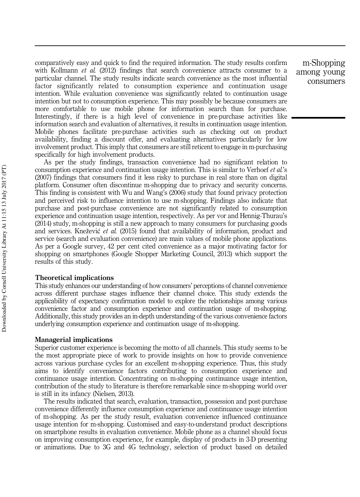comparatively easy and quick to find the required information. The study results confirm with Kollmann *et al.* (2012) findings that search convenience attracts consumer to a particular channel. The study results indicate search convenience as the most influential factor significantly related to consumption experience and continuation usage intention. While evaluation convenience was significantly related to continuation usage intention but not to consumption experience. This may possibly be because consumers are more comfortable to use mobile phone for information search than for purchase. Interestingly, if there is a high level of convenience in pre-purchase activities like information search and evaluation of alternatives, it results in continuation usage intention. Mobile phones facilitate pre-purchase activities such as checking out on product availability, finding a discount offer, and evaluating alternatives particularly for low involvement product. This imply that consumers are still reticent to engage in m-purchasing specifically for high involvement products.

As per the study findings, transaction convenience had no significant relation to consumption experience and continuation usage intention. This is similar to Verhoef *et al.*'s (2007) findings that consumers find it less risky to purchase in real store than on digital platform. Consumer often discontinue m-shopping due to privacy and security concerns. This finding is consistent with Wu and Wang's (2006) study that found privacy protection and perceived risk to influence intention to use m-shopping. Findings also indicate that purchase and post-purchase convenience are not significantly related to consumption experience and continuation usage intention, respectively. As per vor and Hennig-Thurau's (2014) study, m-shopping is still a new approach to many consumers for purchasing goods and services. Knežević *et al.* (2015) found that availability of information, product and service (search and evaluation convenience) are main values of mobile phone applications. As per a Google survey, 42 per cent cited convenience as a major motivating factor for shopping on smartphones (Google Shopper Marketing Council, 2013) which support the results of this study.

## Theoretical implications

This study enhances our understanding of how consumers' perceptions of channel convenience across different purchase stages influence their channel choice. This study extends the applicability of expectancy confirmation model to explore the relationships among various convenience factor and consumption experience and continuation usage of m-shopping. Additionally, this study provides an in-depth understanding of the various convenience factors underlying consumption experience and continuation usage of m-shopping.

## Managerial implications

Superior customer experience is becoming the motto of all channels. This study seems to be the most appropriate piece of work to provide insights on how to provide convenience across various purchase cycles for an excellent m-shopping experience. Thus, this study aims to identify convenience factors contributing to consumption experience and continuance usage intention. Concentrating on m-shopping continuance usage intention, contribution of the study to literature is therefore remarkable since m-shopping world over is still in its infancy (Nielsen, 2013).

The results indicated that search, evaluation, transaction, possession and post-purchase convenience differently influence consumption experience and continuance usage intention of m-shopping. As per the study result, evaluation convenience influenced continuance usage intention for m-shopping. Customised and easy-to-understand product descriptions on smartphone results in evaluation convenience. Mobile phone as a channel should focus on improving consumption experience, for example, display of products in 3-D presenting or animations. Due to 3G and 4G technology, selection of product based on detailed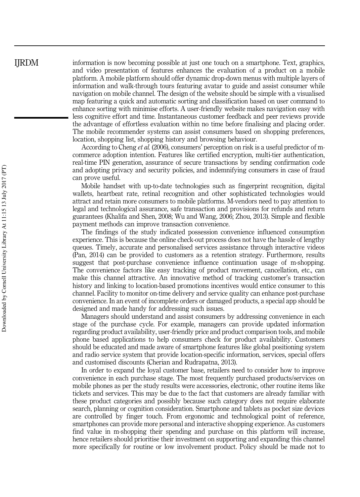information is now becoming possible at just one touch on a smartphone. Text, graphics, and video presentation of features enhances the evaluation of a product on a mobile platform. A mobile platform should offer dynamic drop-down menus with multiple layers of information and walk-through tours featuring avatar to guide and assist consumer while navigation on mobile channel. The design of the website should be simple with a visualised map featuring a quick and automatic sorting and classification based on user command to enhance sorting with minimise efforts. A user-friendly website makes navigation easy with less cognitive effort and time. Instantaneous customer feedback and peer reviews provide the advantage of effortless evaluation within no time before finalising and placing order. The mobile recommender systems can assist consumers based on shopping preferences, location, shopping list, shopping history and browsing behaviour.

According to Cheng *et al.* (2006), consumers' perception on risk is a useful predictor of mcommerce adoption intention. Features like certified encryption, multi-tier authentication, real-time PIN generation, assurance of secure transactions by sending confirmation code and adopting privacy and security policies, and indemnifying consumers in case of fraud can prove useful.

Mobile handset with up-to-date technologies such as fingerprint recognition, digital wallets, heartbeat rate, retinal recognition and other sophisticated technologies would attract and retain more consumers to mobile platforms. M-vendors need to pay attention to legal and technological assurance, safe transaction and provisions for refunds and return guarantees (Khalifa and Shen, 2008; Wu and Wang, 2006; Zhou, 2013). Simple and flexible payment methods can improve transaction convenience.

The findings of the study indicated possession convenience influenced consumption experience. This is because the online check-out process does not have the hassle of lengthy queues. Timely, accurate and personalised services assistance through interactive videos (Pan, 2014) can be provided to customers as a retention strategy. Furthermore, results suggest that post-purchase convenience influence continuation usage of m-shopping. The convenience factors like easy tracking of product movement, cancellation, etc., can make this channel attractive. An innovative method of tracking customer's transaction history and linking to location-based promotions incentives would entice consumer to this channel. Facility to monitor on-time delivery and service quality can enhance post-purchase convenience. In an event of incomplete orders or damaged products, a special app should be designed and made handy for addressing such issues.

Managers should understand and assist consumers by addressing convenience in each stage of the purchase cycle. For example, managers can provide updated information regarding product availability, user-friendly price and product comparison tools, and mobile phone based applications to help consumers check for product availability. Customers should be educated and made aware of smartphone features like global positioning system and radio service system that provide location-specific information, services, special offers and customised discounts (Cherian and Rudrapatna, 2013).

In order to expand the loyal customer base, retailers need to consider how to improve convenience in each purchase stage. The most frequently purchased products/services on mobile phones as per the study results were accessories, electronic, other routine items like tickets and services. This may be due to the fact that customers are already familiar with these product categories and possibly because such category does not require elaborate search, planning or cognition consideration. Smartphone and tablets as pocket size devices are controlled by finger touch. From ergonomic and technological point of reference, smartphones can provide more personal and interactive shopping experience. As customers find value in m-shopping their spending and purchase on this platform will increase, hence retailers should prioritise their investment on supporting and expanding this channel more specifically for routine or low involvement product. Policy should be made not to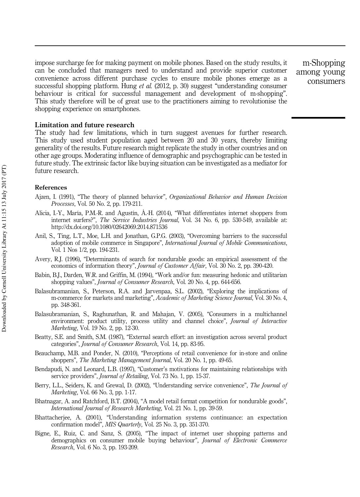impose surcharge fee for making payment on mobile phones. Based on the study results, it can be concluded that managers need to understand and provide superior customer convenience across different purchase cycles to ensure mobile phones emerge as a successful shopping platform. Hung *et al.* (2012, p. 30) suggest "understanding consumer behaviour is critical for successful management and development of m-shopping". This study therefore will be of great use to the practitioners aiming to revolutionise the shopping experience on smartphones.

Limitation and future research

The study had few limitations, which in turn suggest avenues for further research. This study used student population aged between 20 and 30 years, thereby limiting generality of the results. Future research might replicate the study in other countries and on other age groups. Moderating influence of demographic and psychographic can be tested in future study. The extrinsic factor like buying situation can be investigated as a mediator for future research.

# References

- Ajzen, I. (1991), "The theory of planned behavior", *Organizational Behavior and Human Decision Processes*, Vol. 50 No. 2, pp. 179-211.
- Alicia, I.-Y., María, P.M.-R. and Agustín, Á.-H. (2014), "What differentiates internet shoppers from internet surfers?", *The Service Industries Journal*, Vol. 34 No. 6, pp. 530-549, available at: http://dx.doi.org/10.1080/02642069.2014.871536
- Anil, S., Ting, L.T., Moe, L.H. and Jonathan, G.P.G. (2003), "Overcoming barriers to the successful adoption of mobile commerce in Singapore", *International Journal of Mobile Communications*, Vol. 1 Nos 1/2, pp. 194-231.
- Avery, R.J. (1996), "Determinants of search for nondurable goods: an empirical assessment of the economics of information theory", *Journal of Customer Affair*, Vol. 30 No. 2, pp. 390-420.
- Babin, B.J., Darden, W.R. and Griffin, M. (1994), "Work and/or fun: measuring hedonic and utilitarian shopping values", *Journal of Consumer Research*, Vol. 20 No. 4, pp. 644-656.
- Balasubramanian, S., Peterson, R.A. and Jarvenpaa, S.L. (2002), "Exploring the implications of m-commerce for markets and marketing", *Academic of Marketing Science Journal*, Vol. 30 No. 4, pp. 348-361.
- Balasubramanian, S., Raghunathan, R. and Mahajan, V. (2005), "Consumers in a multichannel environment: product utility, process utility and channel choice", *Journal of Interactive Marketing*, Vol. 19 No. 2, pp. 12-30.
- Beatty, S.E. and Smith, S.M. (1987), "External search effort: an investigation across several product categories", *Journal of Consumer Research*, Vol. 14, pp. 83-95.
- Beauchamp, M.B. and Ponder, N. (2010), "Perceptions of retail convenience for in-store and online shoppers", *The Marketing Management Journal*, Vol. 20 No. 1, pp. 49-65.
- Bendapudi, N. and Leonard, L.B. (1997), "Customer's motivations for maintaining relationships with service providers", *Journal of Retailing*, Vol. 73 No. 1, pp. 15-37.
- Berry, L.L., Seiders, K. and Grewal, D. (2002), "Understanding service convenience", *The Journal of Marketing*, Vol. 66 No. 3, pp. 1-17.
- Bhatnagar, A. and Ratchford, B.T. (2004), "A model retail format competition for nondurable goods", *International Journal of Research Marketing*, Vol. 21 No. 1, pp. 39-59.
- Bhattacherjee, A. (2001), "Understanding information systems continuance: an expectation confirmation model", *MIS Quarterly*, Vol. 25 No. 3, pp. 351-370.
- Bigne, E., Ruiz, C. and Sanz, S. (2005), "The impact of internet user shopping patterns and demographics on consumer mobile buying behaviour", *Journal of Electronic Commerce Research*, Vol. 6 No. 3, pp. 193-209.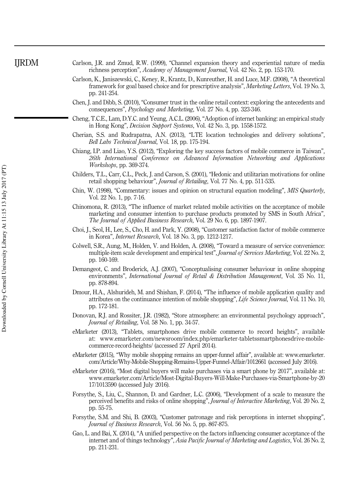Carlson, J.R. and Zmud, R.W. (1999), "Channel expansion theory and experiential nature of media richness perception", *Academy of Management Journal*, Vol. 42 No. 2, pp. 153-170.

- Carlson, K., Janiszewski, C., Keney, R., Krantz, D., Kunreuther, H. and Luce, M.F. (2008), "A theoretical framework for goal based choice and for prescriptive analysis", *Marketing Letters*, Vol. 19 No. 3, pp. 241-254.
- Chen, J. and Dibb, S. (2010), "Consumer trust in the online retail context: exploring the antecedents and consequences", *Psychology and Marketing*, Vol. 27 No. 4, pp. 323-346.
- Cheng, T.C.E., Lam, D.Y.C. and Yeung, A.C.L. (2006), "Adoption of internet banking: an empirical study in Hong Kong", *Decision Support Systems*, Vol. 42 No. 3, pp. 1558-1572.
- Cherian, S.S. and Rudrapatna, A.N. (2013), "LTE location technologies and delivery solutions", *Bell Labs Technical Journal*, Vol. 18, pp. 175-194.
- Chiang, I.P. and Liao, Y.S. (2012), "Exploring the key success factors of mobile commerce in Taiwan", *26th International Conference on Advanced Information Networking and Applications Workshops*, pp. 369-374.
- Childers, T.L., Carr, C.L., Peck, J. and Carson, S. (2001), "Hedonic and utilitarian motivations for online retail shopping behaviour", *Journal of Retailing*, Vol. 77 No. 4, pp. 511-535.
- Chin, W. (1998), "Commentary: issues and opinion on structural equation modeling", *MIS Quarterly*, Vol. 22 No. 1, pp. 7-16.
- Chinomona, R. (2013), "The influence of market related mobile activities on the acceptance of mobile marketing and consumer intention to purchase products promoted by SMS in South Africa", *The Journal of Applied Business Research*, Vol. 29 No. 6, pp. 1897-1907.
- Choi, J., Seol, H., Lee, S., Cho, H. and Park, Y. (2008), "Customer satisfaction factor of mobile commerce in Korea", *Internet Research*, Vol. 18 No. 3, pp. 1212-1217.
- Colwell, S.R., Aung, M., Holden, V. and Holden, A. (2008), "Toward a measure of service convenience: multiple-item scale development and empirical test", *Journal of Services Marketing*, Vol. 22 No. 2, pp. 160-169.
- Demangeot, C. and Broderick, A.J. (2007), "Conceptualising consumer behaviour in online shopping environments", *International Journal of Retail & Distribution Management*, Vol. 35 No. 11, pp. 878-894.
- Dmour, H.A., Alshurideh, M. and Shishan, F. (2014), "The influence of mobile application quality and attributes on the continuance intention of mobile shopping", *Life Science Journal*, Vol. 11 No. 10, pp. 172-181.
- Donovan, R.J. and Rossiter, J.R. (1982), "Store atmosphere: an environmental psychology approach", *Journal of Retailing*, Vol. 58 No. 1, pp. 34-57.
- eMarketer (2013), "Tablets, smartphones drive mobile commerce to record heights", available at: www.emarketer.com/newsroom/index.php/emarketer-tabletssmartphonesdrive-mobilecommerce-record-heights/ (accessed 27 April 2014).
- eMarketer (2015), "Why mobile shopping remains an upper-funnel affair", available at: www.emarketer. com/Article/Why-Mobile-Shopping-Remains-Upper-Funnel-Affair/1012661 (accessed July 2016).
- eMarketer (2016), "Most digital buyers will make purchases via a smart phone by 2017", available at: www.emarketer.com/Article/Most-Digital-Buyers-Will-Make-Purchases-via-Smartphone-by-20 17/1013590 (accessed July 2016).
- Forsythe, S., Liu, C., Shannon, D. and Gardner, L.C. (2006), "Development of a scale to measure the perceived benefits and risks of online shopping", *Journal of Interactive Marketing*, Vol. 20 No. 2, pp. 55-75.
- Forsythe, S.M. and Shi, B. (2003), "Customer patronage and risk perceptions in internet shopping", *Journal of Business Research*, Vol. 56 No. 5, pp. 867-875.
- Gao, L. and Bai, X. (2014), "A unified perspective on the factors influencing consumer acceptance of the internet and of things technology", *Asia Pacific Journal of Marketing and Logistics*, Vol. 26 No. 2, pp. 211-231.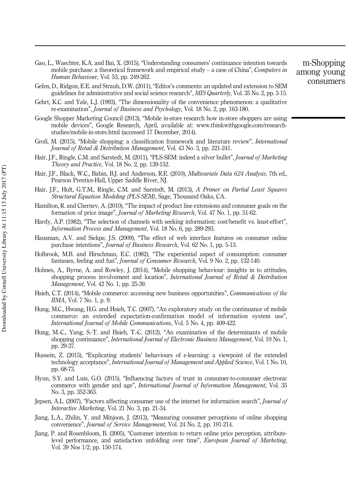- Gao, L., Waechter, K.A. and Bai, X. (2015), "Understanding consumers' continuance intention towards mobile purchase: a theoretical framework and empirical study – a case of China", *Computers in Human Behaviour*, Vol. 53, pp. 249-262.
- m-Shopping among young consumers
- Gefen, D., Ridgon, E.E. and Straub, D.W. (2011), "Editor's comments: an updated and extension to SEM guidelines for administrative and social science research", *MIS Quarterly*, Vol. 35 No. 2, pp. 3-15.
- Gehrt, K.C. and Yale, L.J. (1993), "The dimensionality of the convenience phenomenon: a qualitative re-examination", *Journal of Business and Psychology*, Vol. 18 No. 2, pp. 163-180.
- Google Shopper Marketing Council (2013), "Mobile in-store research how in-store shoppers are using mobile devices", Google Research, April, available at: www.thinkwithgoogle.com/researchstudies/mobile-in-store.html (accessed 17 December, 2014).
- Groß, M. (2015), "Mobile shopping: a classification framework and literature review", *International Journal of Retail & Distribution Management*, Vol. 43 No. 3, pp. 221-241.
- Hair, J.F., Ringle, C.M. and Sarstedt, M. (2011), "PLS-SEM: indeed a silver bullet", *Journal of Marketing Theory and Practice*, Vol. 18 No. 2, pp. 139-152.
- Hair, J.F., Black, W.C., Babin, B.J. and Anderson, R.E. (2010), *Multivariate Data 624 Analysis*, 7th ed., Pearson Prentice-Hall, Upper Saddle River, NJ.
- Hair, J.F., Hult, G.T.M., Ringle, C.M. and Sarstedt, M. (2013), *A Primer on Partial Least Squares Structural Equation Modeling (PLS-SEM)*, Sage, Thousand Oaks, CA.
- Hamilton, R. and Chernev, A. (2010), "The impact of product line extensions and consumer goals on the formation of price image", *Journal of Marketing Research*, Vol. 47 No. 1, pp. 51-62.
- Hardy, A.P. (1982), "The selection of channels with seeking information: cost/benefit vs. least-effort", *Information Process and Management*, Vol. 18 No. 6, pp. 289-293.
- Hausman, A.V. and Siekpe, J.S. (2009), "The effect of web interface features on consumer online purchase intentions", *Journal of Business Research*, Vol. 62 No. 1, pp. 5-13.
- Holbrook, M.B. and Hirschman, E.C. (1982), "The experiential aspect of consumption: consumer fantasies, feeling and fun", *Journal of Consumer Research*, Vol. 9 No. 2, pp. 132-140.
- Holmes, A., Byrne, A. and Rowley, J. (2014), "Mobile shopping behaviour: insights in to attitudes, shopping process involvement and location", *International Journal of Retail & Distribution Management*, Vol. 42 No. 1, pp. 25-39.
- Hsieh, C.T. (2014), "Mobile commerce: accessing new business opportunities", *Communications of the IIMA*, Vol. 7 No. 1, p. 9.
- Hung, M.C., Hwang, H.G. and Hsieh, T.C. (2007), "An exploratory study on the continuance of mobile commerce: an extended expectation-confirmation model of information system use", *International Journal of Mobile Communications*, Vol. 5 No. 4, pp. 409-422.
- Hung, M.-C., Yang, S.-T. and Hsieh, T.-C. (2012), "An examination of the determinants of mobile shopping continuance", *International Journal of Electronic Business Management*, Vol. 10 No. 1, pp. 29-37.
- Hussein, Z. (2015), "Explicating students' behaviours of e-learning: a viewpoint of the extended technology acceptance", *International Journal of Management and Applied Science*, Vol. 1 No. 10, pp. 68-73.
- Hyun, S.Y. and Luis, G.O. (2015), "Influencing factors of trust in consumer-to-consumer electronic commerce with gender and age", *International Journal of Information Management*, Vol. 35 No. 3, pp. 352-363.
- Jepsen, A.L. (2007), "Factors affecting consumer use of the internet for information search", *Journal of Interactive Marketing*, Vol. 21 No. 3, pp. 21-34.
- Jiang, L.A., Zhilin, Y. and Minjoon, J. (2013), "Measuring consumer perceptions of online shopping convenience", *Journal of Service Management*, Vol. 24 No. 2, pp. 191-214.
- Jiang, P. and Rosenbloom, B. (2005), "Customer intention to return online price perception, attributelevel performance, and satisfaction unfolding over time", *European Journal of Marketing*, Vol. 39 Nos 1/2, pp. 150-174.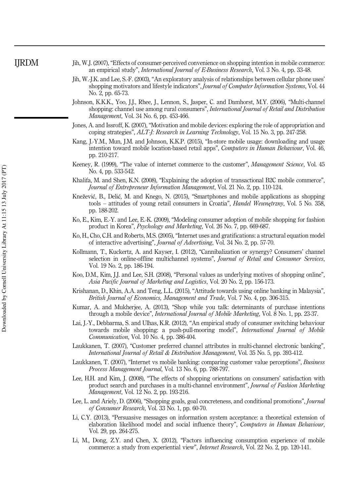- Jih, W.J. (2007), "Effects of consumer-perceived convenience on shopping intention in mobile commerce: an empirical study", *International Journal of E-Business Research*, Vol. 3 No. 4, pp. 33-48.
- Jih, W.-J.K. and Lee, S.-F. (2003), "An exploratory analysis of relationships between cellular phone uses' shopping motivators and lifestyle indicators", *Journal of Computer Information Systems*, Vol. 44 No. 2, pp. 65-73.
- Johnson, K.K.K., Yoo, J.J., Rhee, J., Lennon, S., Jasper, C. and Damhorst, M.Y. (2006), "Multi-channel shopping: channel use among rural consumers", *International Journal of Retail and Distribution Management*, Vol. 34 No. 6, pp. 453-466.
- Jones, A. and Issroff, K. (2007), "Motivation and mobile devices: exploring the role of appropriation and coping strategies", *ALT-J: Research in Learning Technology*, Vol. 15 No. 3, pp. 247-258.
- Kang, J.-Y.M., Mun, J.M. and Johnson, K.K.P. (2015), "In-store mobile usage: downloading and usage intention toward mobile location-based retail apps", *Computers in Human Behaviour*, Vol. 46, pp. 210-217.
- Keeney, R. (1999), "The value of internet commerce to the customer", *Management Science*, Vol. 45 No. 4, pp. 533-542.
- Khalifa, M. and Shen, K.N. (2008), "Explaining the adoption of transactional B2C mobile commerce", *Journal of Entrepreneur Information Management*, Vol. 21 No. 2, pp. 110-124.
- Knežević, B., Delić, M. and Knego, N. (2015), "Smartphones and mobile applications as shopping tools – attitudes of young retail consumers in Croatia", *Handel Wewn*ę*trzny*, Vol. 5 No. 358, pp. 188-202.
- Ko, E., Kim, E.-Y. and Lee, E.-K. (2009), "Modeling consumer adoption of mobile shopping for fashion product in Korea", *Psychology and Marketing*, Vol. 26 No. 7, pp. 669-687.
- Ko, H., Cho, C.H. and Roberts, M.S. (2005), "Internet uses and gratifications: a structural equation model of interactive advertising", *Journal of Advertising*, Vol. 34 No. 2, pp. 57-70.
- Kollmann, T., Kuckertz, A. and Kayser, I. (2012), "Cannibalization or synergy? Consumers' channel selection in online-offline multichannel systems", *Journal of Retail and Consumer Services*, Vol. 19 No. 2, pp. 186-194.
- Koo, D.M., Kim, J.J. and Lee, S.H. (2008), "Personal values as underlying motives of shopping online", *Asia Pacific Journal of Marketing and Logistics*, Vol. 20 No. 2, pp. 156-173.
- Krishanan, D., Khin, A.A. and Teng, L.L. (2015), "Attitude towards using online banking in Malaysia", *British Journal of Economics, Management and Trade*, Vol. 7 No. 4, pp. 306-315.
- Kumar, A. and Mukherjee, A. (2013), "Shop while you talk: determinants of purchase intentions through a mobile device", *International Journal of Mobile Marketing*, Vol. 8 No. 1, pp. 23-37.
- Lai, J.-Y., Debbarma, S. and Ulhas, K.R. (2012), "An empirical study of consumer switching behaviour towards mobile shopping: a push-pull-mooring model", *International Journal of Mobile Communication*, Vol. 10 No. 4, pp. 386-404.
- Laukkanen, T. (2007), "Customer preferred channel attributes in multi-channel electronic banking", *International Journal of Retail & Distribution Management*, Vol. 35 No. 5, pp. 393-412.
- Laukkanen, T. (2007), "Internet vs mobile banking: comparing customer value perceptions", *Business Process Management Journal*, Vol. 13 No. 6, pp. 788-797.
- Lee, H.H. and Kim, J. (2008), "The effects of shopping orientations on consumers' satisfaction with product search and purchases in a multi-channel environment", *Journal of Fashion Marketing Management*, Vol. 12 No. 2, pp. 193-216.
- Lee, L. and Ariely, D. (2006), "Shopping goals, goal concreteness, and conditional promotions", *Journal of Consumer Research*, Vol. 33 No. 1, pp. 60-70.
- Li, C.Y. (2013), "Persuasive messages on information system acceptance: a theoretical extension of elaboration likelihood model and social influence theory", *Computers in Human Behaviour*, Vol. 29, pp. 264-275.
- Li, M., Dong, Z.Y. and Chen, X. (2012), "Factors influencing consumption experience of mobile commerce: a study from experiential view", *Internet Research*, Vol. 22 No. 2, pp. 120-141.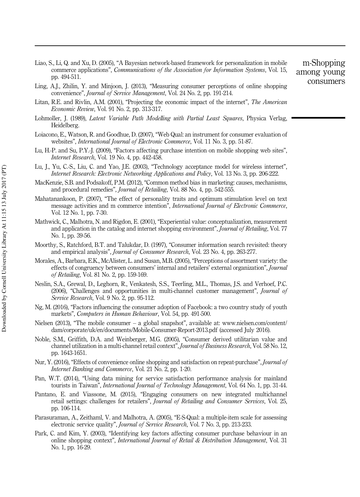- Liao, S., Li, Q. and Xu, D. (2005), "A Bayesian network-based framework for personalization in mobile commerce applications", *Communications of the Association for Information Systems*, Vol. 15, pp. 494-511.
- Ling, A.J., Zhilin, Y. and Minjoon, J. (2013), "Measuring consumer perceptions of online shopping convenience", *Journal of Service Management*, Vol. 24 No. 2, pp. 191-214.
- Litan, R.E. and Rivlin, A.M. (2001), "Projecting the economic impact of the internet", *The American Economic Review*, Vol. 91 No. 2, pp. 313-317.
- Lohmoller, J. (1989), *Latent Variable Path Modelling with Partial Least Squares*, Physica Verlag, Heidelberg.
- Loiacono, E., Watson, R. and Goodhue, D. (2007), "Web Qual: an instrument for consumer evaluation of websites", *International Journal of Electronic Commerce*, Vol. 11 No. 3, pp. 51-87.
- Lu, H.-P. and Su, P.Y.-J. (2009), "Factors affecting purchase intention on mobile shopping web sites", *Internet Research*, Vol. 19 No. 4, pp. 442-458.
- Lu, J., Yu, C.-S., Liu, C. and Yao, J.E. (2003), "Technology acceptance model for wireless internet", *Internet Research: Electronic Networking Applications and Policy*, Vol. 13 No. 3, pp. 206-222.
- MacKenzie, S.B. and Podsakoff, P.M. (2012), "Common method bias in marketing: causes, mechanisms, and procedural remedies", *Journal of Retailing*, Vol. 88 No. 4, pp. 542-555.
- Mahatanankoon, P. (2007), "The effect of personality traits and optimum stimulation level on text message activities and m commerce intention", *International Journal of Electronic Commerce*, Vol. 12 No. 1, pp. 7-30.
- Mathwick, C., Malhotra, N. and Rigdon, E. (2001), "Experiential value: conceptualization, measurement and application in the catalog and internet shopping environment", *Journal of Retailing*, Vol. 77 No. 1, pp. 39-56.
- Moorthy, S., Ratchford, B.T. and Talukdar, D. (1997), "Consumer information search revisited: theory and empirical analysis", *Journal of Consumer Research*, Vol. 23 No. 4, pp. 263-277.
- Morales, A., Barbara, E.K., McAlister, L. and Susan, M.B. (2005), "Perceptions of assortment variety: the effects of congruency between consumers' internal and retailers' external organization", *Journal of Retailing*, Vol. 81 No. 2, pp. 159-169.
- Neslin, S.A., Grewal, D., Leghorn, R., Venkatesh, S.S., Teerling, M.L., Thomas, J.S. and Verhoef, P.C. (2006), "Challenges and opportunities in multi-channel customer management", *Journal of Service Research*, Vol. 9 No. 2, pp. 95-112.
- Ng, M. (2016), "Factors influencing the consumer adoption of Facebook: a two country study of youth markets", *Computers in Human Behaviour*, Vol. 54, pp. 491-500.
- Nielsen (2013), "The mobile consumer a global snapshot", available at: www.nielsen.com/content/ dam/corporate/uk/en/documents/Mobile-Consumer-Report-2013.pdf (accessed July 2016).
- Noble, S.M., Griffith, D.A. and Weinberger, M.G. (2005), "Consumer derived utilitarian value and channel utilization in a multi-channel retail context", *Journal of Business Research*, Vol. 58 No. 12, pp. 1643-1651.
- Nur, Y. (2016), "Effects of convenience online shopping and satisfaction on repeat-purchase", *Journal of Internet Banking and Commerce*, Vol. 21 No. 2, pp. 1-20.
- Pan, W.T. (2014), "Using data mining for service satisfaction performance analysis for mainland tourists in Taiwan", *International Journal of Technology Management*, Vol. 64 No. 1, pp. 31-44.
- Pantano, E. and Viassone, M. (2015), "Engaging consumers on new integrated multichannel retail settings: challenges for retailers", *Journal of Retailing and Consumer Services*, Vol. 25, pp. 106-114.
- Parasuraman, A., Zeithaml, V. and Malhotra, A. (2005), "E-S-Qual: a multiple-item scale for assessing electronic service quality", *Journal of Service Research*, Vol. 7 No. 3, pp. 213-233.
- Park, C. and Kim, Y. (2003), "Identifying key factors affecting consumer purchase behaviour in an online shopping context", *International Journal of Retail & Distribution Management*, Vol. 31 No. 1, pp. 16-29.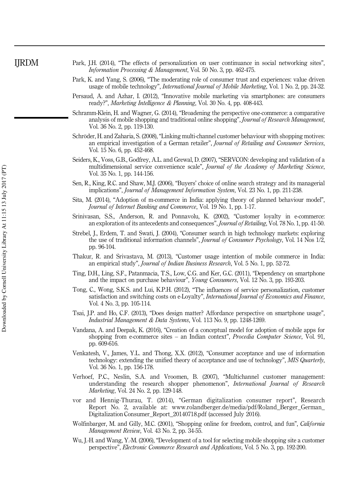- Park, J.H. (2014), "The effects of personalization on user continuance in social networking sites", *Information Processing & Management*, Vol. 50 No. 3, pp. 462-475.
- Park, K. and Yang, S. (2006), "The moderating role of consumer trust and experiences: value driven usage of mobile technology", *International Journal of Mobile Marketing*, Vol. 1 No. 2, pp. 24-32.
- Persaud, A. and Azhar, I. (2012), "Innovative mobile marketing via smartphones: are consumers ready?", *Marketing Intelligence & Planning*, Vol. 30 No. 4, pp. 408-443.
- Schramm-Klein, H. and Wagner, G. (2014), "Broadening the perspective one-commerce: a comparative analysis of mobile shopping and traditional online shopping", *Journal of Research Management*, Vol. 36 No. 2, pp. 119-130.
- Schröder, H. and Zaharia, S. (2008), "Linking multi-channel customer behaviour with shopping motives: an empirical investigation of a German retailer", *Journal of Retailing and Consumer Services*, Vol. 15 No. 6, pp. 452-468.
- Seiders, K., Voss, G.B., Godfrey, A.L. and Grewal, D. (2007), "SERVCON: developing and validation of a multidimensional service convenience scale", *Journal of the Academy of Marketing Science*, Vol. 35 No. 1, pp. 144-156.
- Sen, R., King, R.C. and Shaw, M.J. (2006), "Buyers' choice of online search strategy and its managerial implications", *Journal of Management Information System*, Vol. 23 No. 1, pp. 211-238.
- Sita, M. (2014), "Adoption of m-commerce in India: applying theory of planned behaviour model", *Journal of Internet Banking and Commerce*, Vol. 19 No. 1, pp. 1-17.
- Srinivasan, S.S., Anderson, R. and Ponnavolu, K. (2002), "Customer loyalty in e-commerce: an exploration of its antecedents and consequences", *Journal of Retailing*, Vol. 78 No. 1, pp. 41-50.
- Strebel, J., Erdem, T. and Swati, J. (2004), "Consumer search in high technology markets: exploring the use of traditional information channels", *Journal of Consumer Psychology*, Vol. 14 Nos 1/2, pp. 96-104.
- Thakur, R. and Srivastava, M. (2013), "Customer usage intention of mobile commerce in India: an empirical study", *Journal of Indian Business Research*, Vol. 5 No. 1, pp. 52-72.
- Ting, D.H., Ling, S.F., Patanmacia, T.S., Low, C.G. and Ker, G.C. (2011), "Dependency on smartphone and the impact on purchase behaviour", *Young Consumers*, Vol. 12 No. 3, pp. 193-203.
- Tong, C., Wong, S.K.S. and Lui, K.P.H. (2012), "The influences of service personalization, customer satisfaction and switching costs on e-Loyalty", *International Journal of Economics and Finance*, Vol. 4 No. 3, pp. 105-114.
- Tsai, J.P. and Ho, C.F. (2013), "Does design matter? Affordance perspective on smartphone usage", *Industrial Management & Data Systems*, Vol. 113 No. 9, pp. 1248-1269.
- Vandana, A. and Deepak, K. (2016), "Creation of a conceptual model for adoption of mobile apps for shopping from e-commerce sites – an Indian context", *Procedia Computer Science*, Vol. 91, pp. 609-616.
- Venkatesh, V., James, Y.L. and Thong, X.X. (2012), "Consumer acceptance and use of information technology: extending the unified theory of acceptance and use of technology", *MIS Quarterly*, Vol. 36 No. 1, pp. 156-178.
- Verhoef, P.C., Neslin, S.A. and Vroomen, B. (2007), "Multichannel customer management: understanding the research shopper phenomenon", *International Journal of Research Marketing*, Vol. 24 No. 2, pp. 129-148.
- vor and Hennig-Thurau, T. (2014), "German digitalization consumer report", Research Report No. 2, available at: www.rolandberger.de/media/pdf/Roland\_Berger\_German\_ Digitalization Consumer\_Report\_20140718.pdf (accessed July 2016).
- Wolfinbarger, M. and Gilly, M.C. (2001), "Shopping online for freedom, control, and fun", *California Management Review*, Vol. 43 No. 2, pp. 34-55.
- Wu, J.-H. and Wang, Y.-M. (2006), "Development of a tool for selecting mobile shopping site a customer perspective", *Electronic Commerce Research and Applications*, Vol. 5 No. 3, pp. 192-200.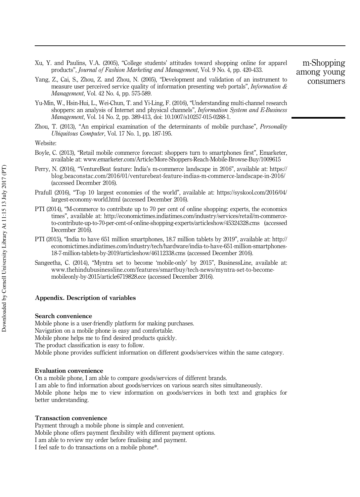- Xu, Y. and Paulins, V.A. (2005), "College students' attitudes toward shopping online for apparel products", *Journal of Fashion Marketing and Management*, Vol. 9 No. 4, pp. 420-433.
- Yang, Z., Cai, S., Zhou, Z. and Zhou, N. (2005), "Development and validation of an instrument to measure user perceived service quality of information presenting web portals", *Information & Management*, Vol. 42 No. 4, pp. 575-589.
- Yu-Min, W., Hsin-Hui, L., Wei-Chun, T. and Yi-Ling, F. (2016), "Understanding multi-channel research shoppers: an analysis of Internet and physical channels", *Information System and E-Business Management*, Vol. 14 No. 2, pp. 389-413, doi: 10.1007/s10257-015-0288-1.
- Zhou, T. (2013), "An empirical examination of the determinants of mobile purchase", *Personality Ubiquitous Computer*, Vol. 17 No. 1, pp. 187-195.

Website:

- Boyle, C. (2013), "Retail mobile commerce forecast: shoppers turn to smartphones first", Emarketer, available at: www.emarketer.com/Article/More-Shoppers-Reach-Mobile-Browse-Buy/1009615
- Perry, N. (2016), "VentureBeat feature: India's m-commerce landscape in 2016", available at: https:// blog.beaconstac.com/2016/01/venturebeat-feature-indias-m-commerce-landscape-in-2016/ (accessed December 2016).
- Prafull (2016), "Top 10 largest economies of the world", available at: https://syskool.com/2016/04/ largest-economy-world.html (accessed December 2016).
- PTI (2014), "M-commerce to contribute up to 70 per cent of online shopping: experts, the economics times", available at: http://economictimes.indiatimes.com/industry/services/retail/m-commerceto-contribute-up-to-70-per-cent-of-online-shopping-experts/articleshow/45324328.cms (accessed December 2016).
- PTI (2015), "India to have 651 million smartphones, 18.7 million tablets by 2019", available at: http:// economictimes.indiatimes.com/industry/tech/hardware/india-to-have-651-million-smartphones-18-7-million-tablets-by-2019/articleshow/46112338.cms (accessed December 2016).
- Sangeetha, C. (2014), "Myntra set to become 'mobile-only' by 2015", BusinessLine, available at: www.thehindubusinessline.com/features/smartbuy/tech-news/myntra-set-to-becomemobileonly-by-2015/article6719828.ece (accessed December 2016).

### Appendix. Description of variables

#### Search convenience

Mobile phone is a user-friendly platform for making purchases. Navigation on a mobile phone is easy and comfortable. Mobile phone helps me to find desired products quickly. The product classification is easy to follow. Mobile phone provides sufficient information on different goods/services within the same category.

### Evaluation convenience

On a mobile phone, I am able to compare goods/services of different brands.

I am able to find information about goods/services on various search sites simultaneously.

Mobile phone helps me to view information on goods/services in both text and graphics for better understanding.

### Transaction convenience

Payment through a mobile phone is simple and convenient.

Mobile phone offers payment flexibility with different payment options.

I am able to review my order before finalising and payment.

I feel safe to do transactions on a mobile phone\*.